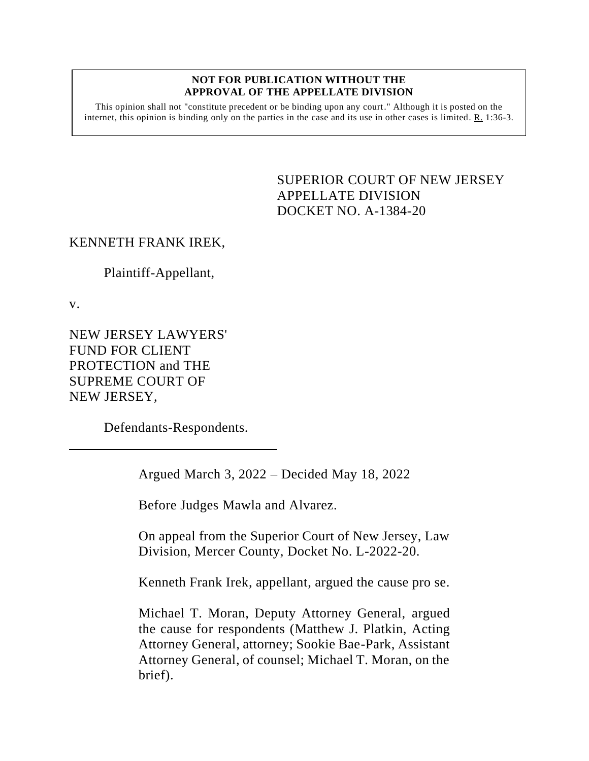#### **NOT FOR PUBLICATION WITHOUT THE APPROVAL OF THE APPELLATE DIVISION**

This opinion shall not "constitute precedent or be binding upon any court." Although it is posted on the internet, this opinion is binding only on the parties in the case and its use in other cases is limited.  $R_1$  1:36-3.

> <span id="page-0-0"></span>SUPERIOR COURT OF NEW JERSEY APPELLATE DIVISION DOCKET NO. A-1384-20

### KENNETH FRANK IREK,

Plaintiff-Appellant,

v.

NEW JERSEY LAWYERS' FUND FOR CLIENT PROTECTION and THE SUPREME COURT OF NEW JERSEY,

Defendants-Respondents.

Argued March 3, 2022 – Decided May 18, 2022

Before Judges Mawla and Alvarez.

On appeal from the Superior Court of New Jersey, Law Division, Mercer County, Docket No. L-2022-20.

Kenneth Frank Irek, appellant, argued the cause pro se.

Michael T. Moran, Deputy Attorney General, argued the cause for respondents (Matthew J. Platkin, Acting Attorney General, attorney; Sookie Bae-Park, Assistant Attorney General, of counsel; Michael T. Moran, on the brief).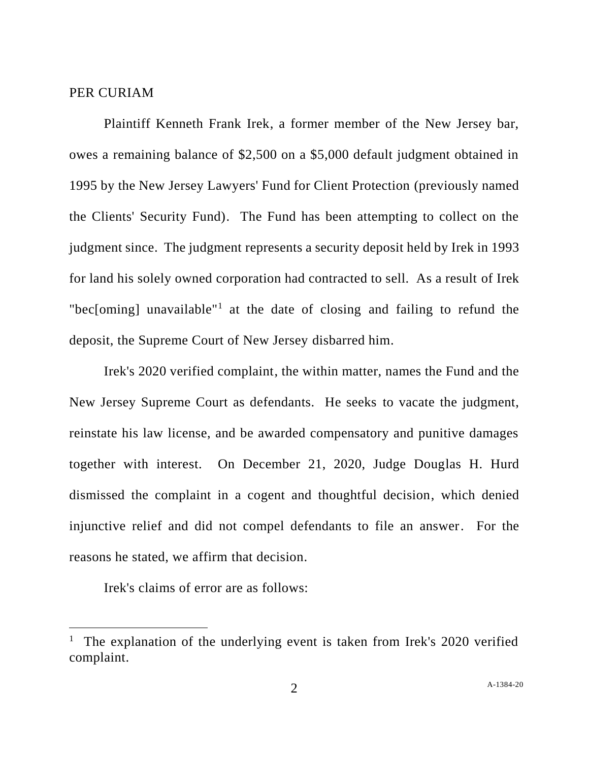#### PER CURIAM

Plaintiff Kenneth Frank Irek, a former member of the New Jersey bar, owes a remaining balance of \$2,500 on a \$5,000 default judgment obtained in 1995 by the New Jersey Lawyers' Fund for Client Protection (previously named the Clients' Security Fund). The Fund has been attempting to collect on the judgment since. The judgment represents a security deposit held by Irek in 1993 for land his solely owned corporation had contracted to sell. As a result of Irek "bec[oming] unavailable"<sup>1</sup> at the date of closing and failing to refund the deposit, the Supreme Court of New Jersey disbarred him.

Irek's 2020 verified complaint, the within matter, names the Fund and the New Jersey Supreme Court as defendants. He seeks to vacate the judgment, reinstate his law license, and be awarded compensatory and punitive damages together with interest. On December 21, 2020, Judge Douglas H. Hurd dismissed the complaint in a cogent and thoughtful decision, which denied injunctive relief and did not compel defendants to file an answer. For the reasons he stated, we affirm that decision.

Irek's claims of error are as follows:

<sup>&</sup>lt;sup>1</sup> The explanation of the underlying event is taken from Irek's 2020 verified complaint.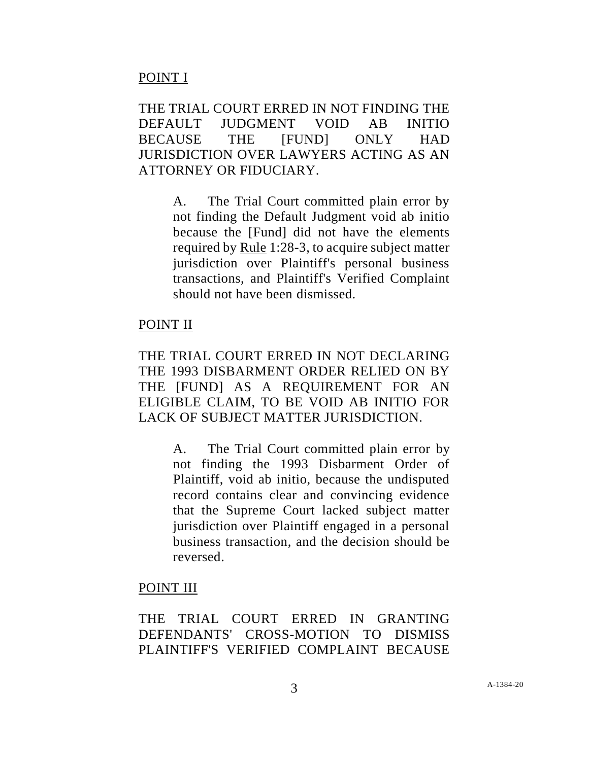## POINT I

THE TRIAL COURT ERRED IN NOT FINDING THE DEFAULT JUDGMENT VOID AB INITIO BECAUSE THE [FUND] ONLY HAD JURISDICTION OVER LAWYERS ACTING AS AN ATTORNEY OR FIDUCIARY.

> A. The Trial Court committed plain error by not finding the Default Judgment void ab initio because the [Fund] did not have the elements required by Rule 1:28-3, to acquire subject matter jurisdiction over Plaintiff's personal business transactions, and Plaintiff's Verified Complaint should not have been dismissed.

### POINT II

THE TRIAL COURT ERRED IN NOT DECLARING THE 1993 DISBARMENT ORDER RELIED ON BY THE [FUND] AS A REQUIREMENT FOR AN ELIGIBLE CLAIM, TO BE VOID AB INITIO FOR LACK OF SUBJECT MATTER JURISDICTION.

> A. The Trial Court committed plain error by not finding the 1993 Disbarment Order of Plaintiff, void ab initio, because the undisputed record contains clear and convincing evidence that the Supreme Court lacked subject matter jurisdiction over Plaintiff engaged in a personal business transaction, and the decision should be reversed.

### POINT III

THE TRIAL COURT ERRED IN GRANTING DEFENDANTS' CROSS-MOTION TO DISMISS PLAINTIFF'S VERIFIED COMPLAINT BECAUSE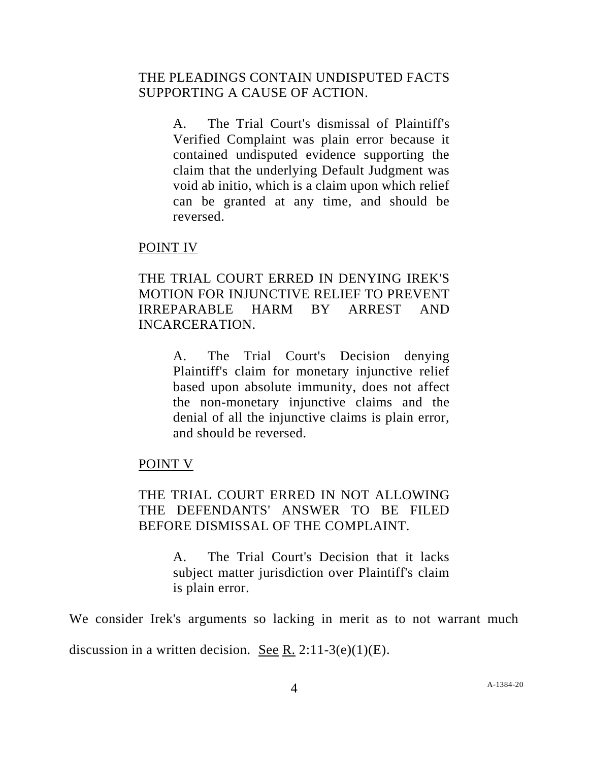## THE PLEADINGS CONTAIN UNDISPUTED FACTS SUPPORTING A CAUSE OF ACTION.

A. The Trial Court's dismissal of Plaintiff's Verified Complaint was plain error because it contained undisputed evidence supporting the claim that the underlying Default Judgment was void ab initio, which is a claim upon which relief can be granted at any time, and should be reversed.

### POINT IV

# THE TRIAL COURT ERRED IN DENYING IREK'S MOTION FOR INJUNCTIVE RELIEF TO PREVENT IRREPARABLE HARM BY ARREST AND INCARCERATION.

A. The Trial Court's Decision denying Plaintiff's claim for monetary injunctive relief based upon absolute immunity, does not affect the non-monetary injunctive claims and the denial of all the injunctive claims is plain error, and should be reversed.

### POINT V

# THE TRIAL COURT ERRED IN NOT ALLOWING THE DEFENDANTS' ANSWER TO BE FILED BEFORE DISMISSAL OF THE COMPLAINT.

A. The Trial Court's Decision that it lacks subject matter jurisdiction over Plaintiff's claim is plain error.

We consider Irek's arguments so lacking in merit as to not warrant much

discussion in a written decision. See R.  $2:11-3(e)(1)(E)$ .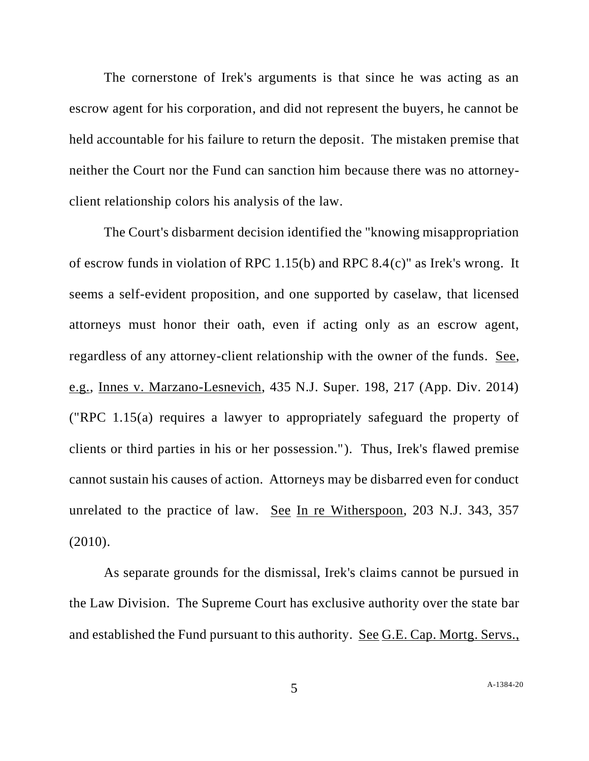The cornerstone of Irek's arguments is that since he was acting as an escrow agent for his corporation, and did not represent the buyers, he cannot be held accountable for his failure to return the deposit. The mistaken premise that neither the Court nor the Fund can sanction him because there was no attorneyclient relationship colors his analysis of the law.

The Court's disbarment decision identified the "knowing misappropriation of escrow funds in violation of RPC 1.15(b) and RPC 8.4(c)" as Irek's wrong. It seems a self-evident proposition, and one supported by caselaw, that licensed attorneys must honor their oath, even if acting only as an escrow agent, regardless of any attorney-client relationship with the owner of the funds. See, e.g., Innes v. Marzano-Lesnevich, 435 N.J. Super. 198, 217 (App. Div. 2014) ("RPC 1.15(a) requires a lawyer to appropriately safeguard the property of clients or third parties in his or her possession."). Thus, Irek's flawed premise cannot sustain his causes of action. Attorneys may be disbarred even for conduct unrelated to the practice of law. See In re Witherspoon, 203 N.J. 343, 357 (2010).

As separate grounds for the dismissal, Irek's claims cannot be pursued in the Law Division. The Supreme Court has exclusive authority over the state bar and established the Fund pursuant to this authority. See G.E. Cap. Mortg. Servs.,